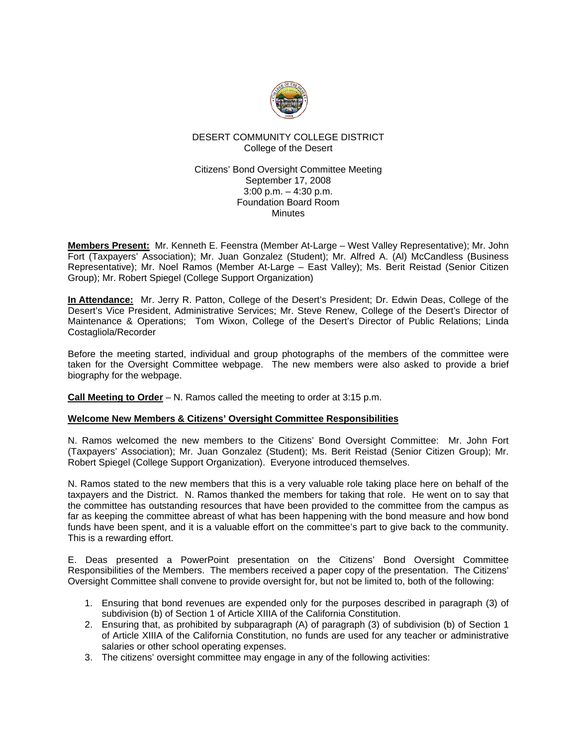

# DESERT COMMUNITY COLLEGE DISTRICT College of the Desert

### Citizens' Bond Oversight Committee Meeting September 17, 2008 3:00 p.m. – 4:30 p.m. Foundation Board Room Minutes

**Members Present:** Mr. Kenneth E. Feenstra (Member At-Large – West Valley Representative); Mr. John Fort (Taxpayers' Association); Mr. Juan Gonzalez (Student); Mr. Alfred A. (Al) McCandless (Business Representative); Mr. Noel Ramos (Member At-Large – East Valley); Ms. Berit Reistad (Senior Citizen Group); Mr. Robert Spiegel (College Support Organization)

**In Attendance:** Mr. Jerry R. Patton, College of the Desert's President; Dr. Edwin Deas, College of the Desert's Vice President, Administrative Services; Mr. Steve Renew, College of the Desert's Director of Maintenance & Operations; Tom Wixon, College of the Desert's Director of Public Relations; Linda Costagliola/Recorder

Before the meeting started, individual and group photographs of the members of the committee were taken for the Oversight Committee webpage. The new members were also asked to provide a brief biography for the webpage.

**Call Meeting to Order** – N. Ramos called the meeting to order at 3:15 p.m.

# **Welcome New Members & Citizens' Oversight Committee Responsibilities**

N. Ramos welcomed the new members to the Citizens' Bond Oversight Committee: Mr. John Fort (Taxpayers' Association); Mr. Juan Gonzalez (Student); Ms. Berit Reistad (Senior Citizen Group); Mr. Robert Spiegel (College Support Organization). Everyone introduced themselves.

N. Ramos stated to the new members that this is a very valuable role taking place here on behalf of the taxpayers and the District. N. Ramos thanked the members for taking that role. He went on to say that the committee has outstanding resources that have been provided to the committee from the campus as far as keeping the committee abreast of what has been happening with the bond measure and how bond funds have been spent, and it is a valuable effort on the committee's part to give back to the community. This is a rewarding effort.

E. Deas presented a PowerPoint presentation on the Citizens' Bond Oversight Committee Responsibilities of the Members. The members received a paper copy of the presentation. The Citizens' Oversight Committee shall convene to provide oversight for, but not be limited to, both of the following:

- 1. Ensuring that bond revenues are expended only for the purposes described in paragraph (3) of subdivision (b) of Section 1 of Article XIIIA of the California Constitution.
- 2. Ensuring that, as prohibited by subparagraph (A) of paragraph (3) of subdivision (b) of Section 1 of Article XIIIA of the California Constitution, no funds are used for any teacher or administrative salaries or other school operating expenses.
- 3. The citizens' oversight committee may engage in any of the following activities: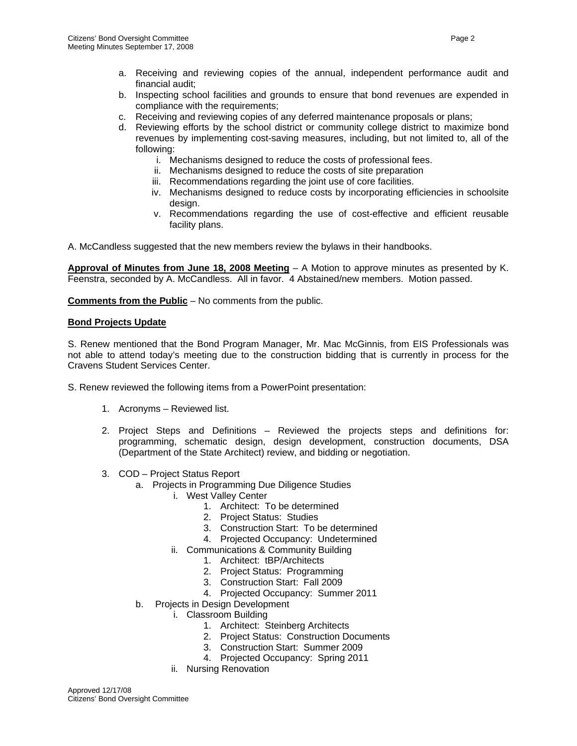- a. Receiving and reviewing copies of the annual, independent performance audit and financial audit;
- b. Inspecting school facilities and grounds to ensure that bond revenues are expended in compliance with the requirements;
- c. Receiving and reviewing copies of any deferred maintenance proposals or plans;
- d. Reviewing efforts by the school district or community college district to maximize bond revenues by implementing cost-saving measures, including, but not limited to, all of the following:
	- i. Mechanisms designed to reduce the costs of professional fees.
	- ii. Mechanisms designed to reduce the costs of site preparation
	- iii. Recommendations regarding the joint use of core facilities.
	- iv. Mechanisms designed to reduce costs by incorporating efficiencies in schoolsite design.
	- v. Recommendations regarding the use of cost-effective and efficient reusable facility plans.

A. McCandless suggested that the new members review the bylaws in their handbooks.

**Approval of Minutes from June 18, 2008 Meeting** – A Motion to approve minutes as presented by K. Feenstra, seconded by A. McCandless. All in favor. 4 Abstained/new members. Motion passed.

**Comments from the Public** – No comments from the public.

#### **Bond Projects Update**

S. Renew mentioned that the Bond Program Manager, Mr. Mac McGinnis, from EIS Professionals was not able to attend today's meeting due to the construction bidding that is currently in process for the Cravens Student Services Center.

- S. Renew reviewed the following items from a PowerPoint presentation:
	- 1. Acronyms Reviewed list.
	- 2. Project Steps and Definitions Reviewed the projects steps and definitions for: programming, schematic design, design development, construction documents, DSA (Department of the State Architect) review, and bidding or negotiation.
	- 3. COD Project Status Report
		- a. Projects in Programming Due Diligence Studies
			- i. West Valley Center
				- 1. Architect: To be determined
				- 2. Project Status: Studies
				- 3. Construction Start: To be determined
				- 4. Projected Occupancy: Undetermined
			- ii. Communications & Community Building
				- 1. Architect: tBP/Architects
				- 2. Project Status: Programming
				- 3. Construction Start: Fall 2009
				- 4. Projected Occupancy: Summer 2011
		- b. Projects in Design Development
			- i. Classroom Building
				- 1. Architect: Steinberg Architects
				- 2. Project Status: Construction Documents
				- 3. Construction Start: Summer 2009
				- 4. Projected Occupancy: Spring 2011
			- ii. Nursing Renovation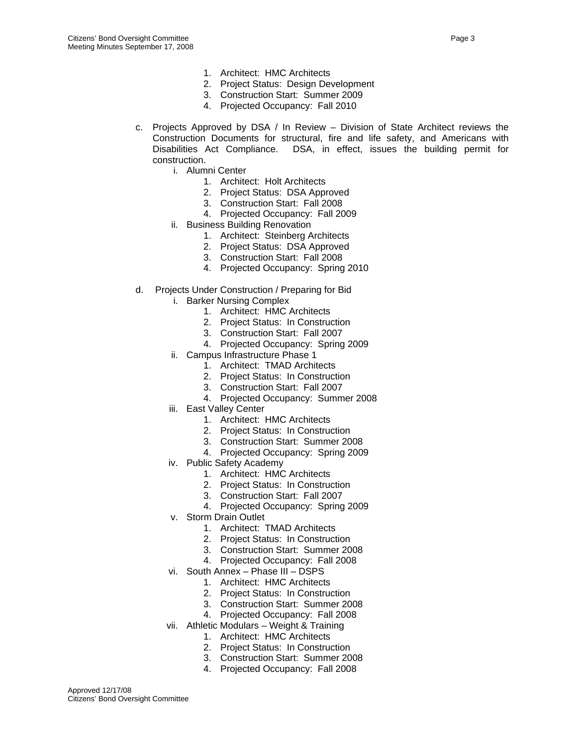- 1. Architect: HMC Architects
- 2. Project Status: Design Development
- 3. Construction Start: Summer 2009
- 4. Projected Occupancy: Fall 2010
- c. Projects Approved by DSA / In Review Division of State Architect reviews the Construction Documents for structural, fire and life safety, and Americans with Disabilities Act Compliance. DSA, in effect, issues the building permit for construction.
	- i. Alumni Center
		- 1. Architect: Holt Architects
		- 2. Project Status: DSA Approved
		- 3. Construction Start: Fall 2008
		- 4. Projected Occupancy: Fall 2009
	- ii. Business Building Renovation
		- 1. Architect: Steinberg Architects
		- 2. Project Status: DSA Approved
		- 3. Construction Start: Fall 2008
		- 4. Projected Occupancy: Spring 2010
- d. Projects Under Construction / Preparing for Bid
	- i. Barker Nursing Complex
		- 1. Architect: HMC Architects
		- 2. Project Status: In Construction
		- 3. Construction Start: Fall 2007
		- 4. Projected Occupancy: Spring 2009
	- ii. Campus Infrastructure Phase 1
		- 1. Architect: TMAD Architects
		- 2. Project Status: In Construction
		- 3. Construction Start: Fall 2007
		- 4. Projected Occupancy: Summer 2008
	- iii. East Valley Center
		- 1. Architect: HMC Architects
		- 2. Project Status: In Construction
		- 3. Construction Start: Summer 2008
		- 4. Projected Occupancy: Spring 2009
	- iv. Public Safety Academy
		- 1. Architect: HMC Architects
		- 2. Project Status: In Construction
		- 3. Construction Start: Fall 2007
		- 4. Projected Occupancy: Spring 2009
	- v. Storm Drain Outlet
		- 1. Architect: TMAD Architects
		- 2. Project Status: In Construction
		- 3. Construction Start: Summer 2008
		- 4. Projected Occupancy: Fall 2008
	- vi. South Annex Phase III DSPS
		- 1. Architect: HMC Architects
		- 2. Project Status: In Construction
		- 3. Construction Start: Summer 2008
		- 4. Projected Occupancy: Fall 2008
	- vii. Athletic Modulars Weight & Training
		- 1. Architect: HMC Architects
		- 2. Project Status: In Construction
		- 3. Construction Start: Summer 2008
		- 4. Projected Occupancy: Fall 2008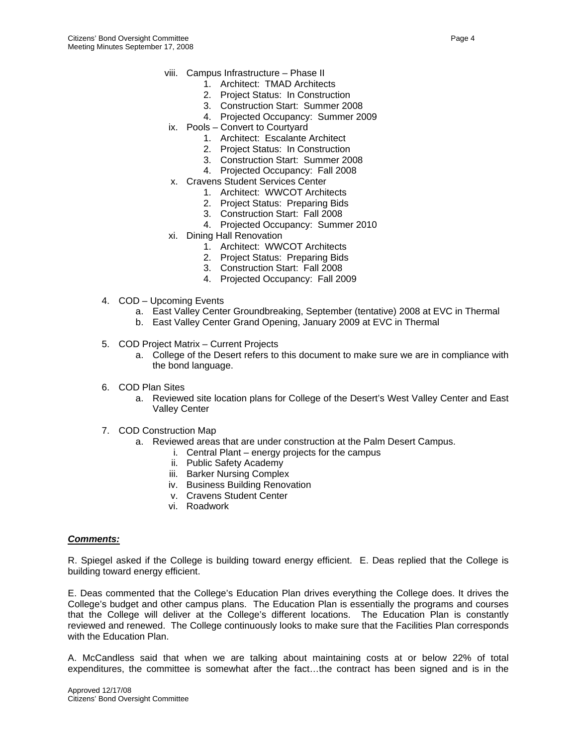- viii. Campus Infrastructure Phase II
	- 1. Architect: TMAD Architects
	- 2. Project Status: In Construction
	- 3. Construction Start: Summer 2008
	- 4. Projected Occupancy: Summer 2009
- ix. Pools Convert to Courtyard
	- 1. Architect: Escalante Architect
	- 2. Project Status: In Construction
	- 3. Construction Start: Summer 2008
	- 4. Projected Occupancy: Fall 2008
- x. Cravens Student Services Center
	- 1. Architect: WWCOT Architects
	- 2. Project Status: Preparing Bids
	- 3. Construction Start: Fall 2008
	- 4. Projected Occupancy: Summer 2010
- xi. Dining Hall Renovation
	- 1. Architect: WWCOT Architects
	- 2. Project Status: Preparing Bids
	- 3. Construction Start: Fall 2008
	- 4. Projected Occupancy: Fall 2009
- 4. COD Upcoming Events
	- a. East Valley Center Groundbreaking, September (tentative) 2008 at EVC in Thermal
	- b. East Valley Center Grand Opening, January 2009 at EVC in Thermal
- 5. COD Project Matrix Current Projects
	- a. College of the Desert refers to this document to make sure we are in compliance with the bond language.
- 6. COD Plan Sites
	- a. Reviewed site location plans for College of the Desert's West Valley Center and East Valley Center
- 7. COD Construction Map
	- a. Reviewed areas that are under construction at the Palm Desert Campus.
		- i. Central Plant energy projects for the campus
		- ii. Public Safety Academy
		- iii. Barker Nursing Complex
		- iv. Business Building Renovation
		- v. Cravens Student Center
		- vi. Roadwork

#### *Comments:*

R. Spiegel asked if the College is building toward energy efficient. E. Deas replied that the College is building toward energy efficient.

E. Deas commented that the College's Education Plan drives everything the College does. It drives the College's budget and other campus plans. The Education Plan is essentially the programs and courses that the College will deliver at the College's different locations. The Education Plan is constantly reviewed and renewed. The College continuously looks to make sure that the Facilities Plan corresponds with the Education Plan.

A. McCandless said that when we are talking about maintaining costs at or below 22% of total expenditures, the committee is somewhat after the fact…the contract has been signed and is in the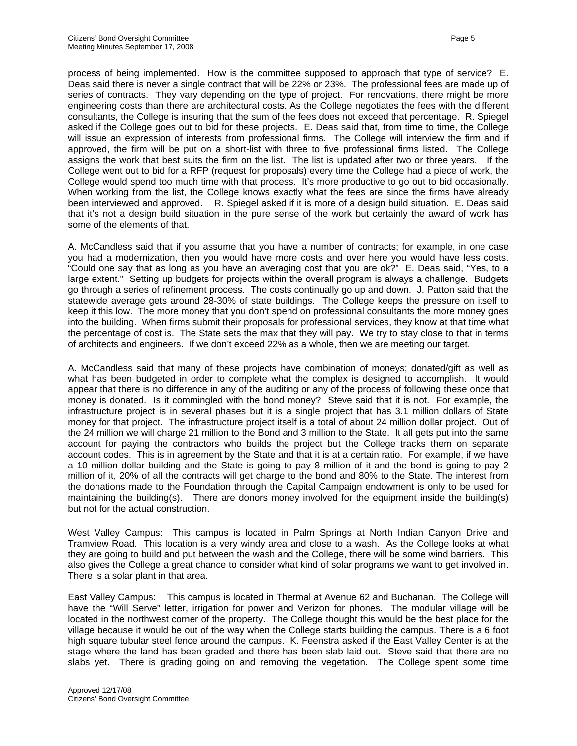process of being implemented. How is the committee supposed to approach that type of service? E. Deas said there is never a single contract that will be 22% or 23%. The professional fees are made up of series of contracts. They vary depending on the type of project. For renovations, there might be more engineering costs than there are architectural costs. As the College negotiates the fees with the different consultants, the College is insuring that the sum of the fees does not exceed that percentage. R. Spiegel asked if the College goes out to bid for these projects. E. Deas said that, from time to time, the College will issue an expression of interests from professional firms. The College will interview the firm and if approved, the firm will be put on a short-list with three to five professional firms listed. The College assigns the work that best suits the firm on the list. The list is updated after two or three years. If the College went out to bid for a RFP (request for proposals) every time the College had a piece of work, the College would spend too much time with that process. It's more productive to go out to bid occasionally. When working from the list, the College knows exactly what the fees are since the firms have already been interviewed and approved. R. Spiegel asked if it is more of a design build situation. E. Deas said that it's not a design build situation in the pure sense of the work but certainly the award of work has some of the elements of that.

A. McCandless said that if you assume that you have a number of contracts; for example, in one case you had a modernization, then you would have more costs and over here you would have less costs. "Could one say that as long as you have an averaging cost that you are ok?" E. Deas said, "Yes, to a large extent." Setting up budgets for projects within the overall program is always a challenge. Budgets go through a series of refinement process. The costs continually go up and down. J. Patton said that the statewide average gets around 28-30% of state buildings. The College keeps the pressure on itself to keep it this low. The more money that you don't spend on professional consultants the more money goes into the building. When firms submit their proposals for professional services, they know at that time what the percentage of cost is. The State sets the max that they will pay. We try to stay close to that in terms of architects and engineers. If we don't exceed 22% as a whole, then we are meeting our target.

A. McCandless said that many of these projects have combination of moneys; donated/gift as well as what has been budgeted in order to complete what the complex is designed to accomplish. It would appear that there is no difference in any of the auditing or any of the process of following these once that money is donated. Is it commingled with the bond money? Steve said that it is not. For example, the infrastructure project is in several phases but it is a single project that has 3.1 million dollars of State money for that project. The infrastructure project itself is a total of about 24 million dollar project. Out of the 24 million we will charge 21 million to the Bond and 3 million to the State. It all gets put into the same account for paying the contractors who builds the project but the College tracks them on separate account codes. This is in agreement by the State and that it is at a certain ratio. For example, if we have a 10 million dollar building and the State is going to pay 8 million of it and the bond is going to pay 2 million of it, 20% of all the contracts will get charge to the bond and 80% to the State. The interest from the donations made to the Foundation through the Capital Campaign endowment is only to be used for maintaining the building(s). There are donors money involved for the equipment inside the building(s) but not for the actual construction.

West Valley Campus: This campus is located in Palm Springs at North Indian Canyon Drive and Tramview Road. This location is a very windy area and close to a wash. As the College looks at what they are going to build and put between the wash and the College, there will be some wind barriers. This also gives the College a great chance to consider what kind of solar programs we want to get involved in. There is a solar plant in that area.

East Valley Campus: This campus is located in Thermal at Avenue 62 and Buchanan. The College will have the "Will Serve" letter, irrigation for power and Verizon for phones. The modular village will be located in the northwest corner of the property. The College thought this would be the best place for the village because it would be out of the way when the College starts building the campus. There is a 6 foot high square tubular steel fence around the campus. K. Feenstra asked if the East Valley Center is at the stage where the land has been graded and there has been slab laid out. Steve said that there are no slabs yet. There is grading going on and removing the vegetation. The College spent some time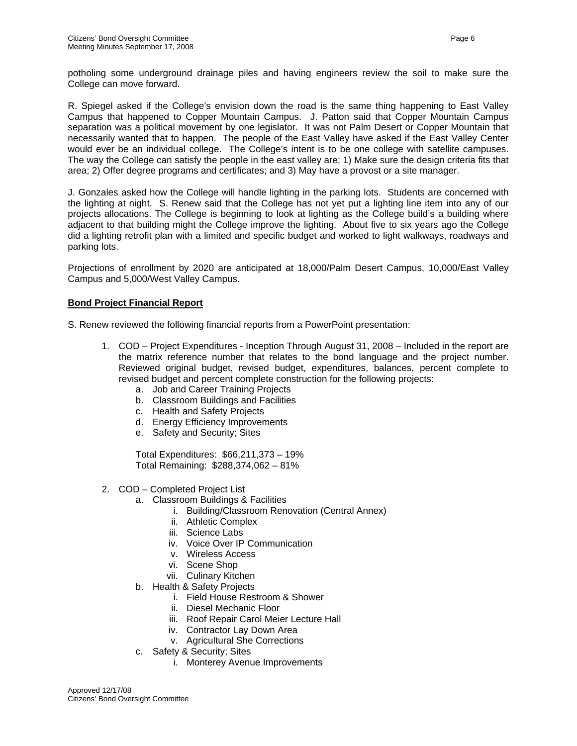potholing some underground drainage piles and having engineers review the soil to make sure the College can move forward.

R. Spiegel asked if the College's envision down the road is the same thing happening to East Valley Campus that happened to Copper Mountain Campus. J. Patton said that Copper Mountain Campus separation was a political movement by one legislator. It was not Palm Desert or Copper Mountain that necessarily wanted that to happen. The people of the East Valley have asked if the East Valley Center would ever be an individual college. The College's intent is to be one college with satellite campuses. The way the College can satisfy the people in the east valley are; 1) Make sure the design criteria fits that area; 2) Offer degree programs and certificates; and 3) May have a provost or a site manager.

J. Gonzales asked how the College will handle lighting in the parking lots. Students are concerned with the lighting at night. S. Renew said that the College has not yet put a lighting line item into any of our projects allocations. The College is beginning to look at lighting as the College build's a building where adjacent to that building might the College improve the lighting. About five to six years ago the College did a lighting retrofit plan with a limited and specific budget and worked to light walkways, roadways and parking lots.

Projections of enrollment by 2020 are anticipated at 18,000/Palm Desert Campus, 10,000/East Valley Campus and 5,000/West Valley Campus.

## **Bond Project Financial Report**

S. Renew reviewed the following financial reports from a PowerPoint presentation:

- 1. COD Project Expenditures Inception Through August 31, 2008 Included in the report are the matrix reference number that relates to the bond language and the project number. Reviewed original budget, revised budget, expenditures, balances, percent complete to revised budget and percent complete construction for the following projects:
	- a. Job and Career Training Projects
	- b. Classroom Buildings and Facilities
	- c. Health and Safety Projects
	- d. Energy Efficiency Improvements
	- e. Safety and Security; Sites

Total Expenditures: \$66,211,373 – 19% Total Remaining: \$288,374,062 – 81%

- 2. COD Completed Project List
	- a. Classroom Buildings & Facilities
		- i. Building/Classroom Renovation (Central Annex)
		- ii. Athletic Complex
		- iii. Science Labs
		- iv. Voice Over IP Communication
		- v. Wireless Access
		- vi. Scene Shop
		- vii. Culinary Kitchen
	- b. Health & Safety Projects
		- i. Field House Restroom & Shower
		- ii. Diesel Mechanic Floor
		- iii. Roof Repair Carol Meier Lecture Hall
		- iv. Contractor Lay Down Area
		- v. Agricultural She Corrections
	- c. Safety & Security; Sites
		- i. Monterey Avenue Improvements